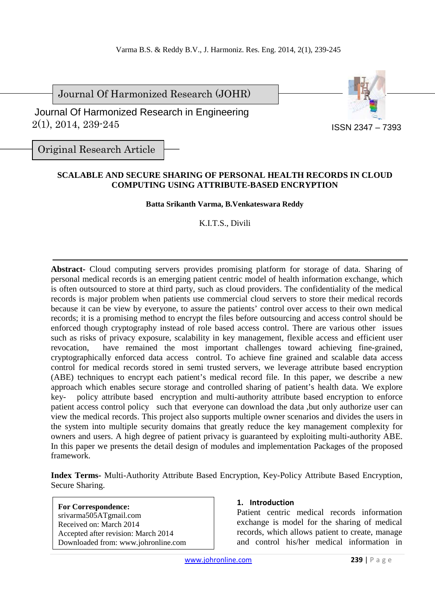Journal Of Harmonized Research (JOHR)

 2(1), 2014, 239-245 Journal Of Harmonized Research in Engineering



Original Research Article

## **SCALABLE AND SECURE SHARING OF PERSONAL HEALTH RECORDS IN CLOUD COMPUTING USING ATTRIBUTE-BASED ENCRYPTION**

#### **Batta Srikanth Varma, B.Venkateswara Reddy**

K.I.T.S., Divili

**Abstract-** Cloud computing servers provides promising platform for storage of data. Sharing of personal medical records is an emerging patient centric model of health information exchange, which is often outsourced to store at third party, such as cloud providers. The confidentiality of the medical records is major problem when patients use commercial cloud servers to store their medical records because it can be view by everyone, to assure the patients' control over access to their own medical records; it is a promising method to encrypt the files before outsourcing and access control should be enforced though cryptography instead of role based access control. There are various other issues such as risks of privacy exposure, scalability in key management, flexible access and efficient user revocation, have remained the most important challenges toward achieving fine-grained, cryptographically enforced data access control. To achieve fine grained and scalable data access control for medical records stored in semi trusted servers, we leverage attribute based encryption (ABE) techniques to encrypt each patient's medical record file. In this paper, we describe a new approach which enables secure storage and controlled sharing of patient's health data. We explore key- policy attribute based encryption and multi-authority attribute based encryption to enforce patient access control policy such that everyone can download the data ,but only authorize user can view the medical records. This project also supports multiple owner scenarios and divides the users in the system into multiple security domains that greatly reduce the key management complexity for owners and users. A high degree of patient privacy is guaranteed by exploiting multi-authority ABE. In this paper we presents the detail design of modules and implementation Packages of the proposed framework.

**Index Terms-** Multi-Authority Attribute Based Encryption, Key-Policy Attribute Based Encryption, Secure Sharing.

**For Correspondence:**  srivarma505ATgmail.com Received on: March 2014 Accepted after revision: March 2014 Downloaded from: www.johronline.com

#### **1. Introduction**

Patient centric medical records information exchange is model for the sharing of medical records, which allows patient to create, manage and control his/her medical information in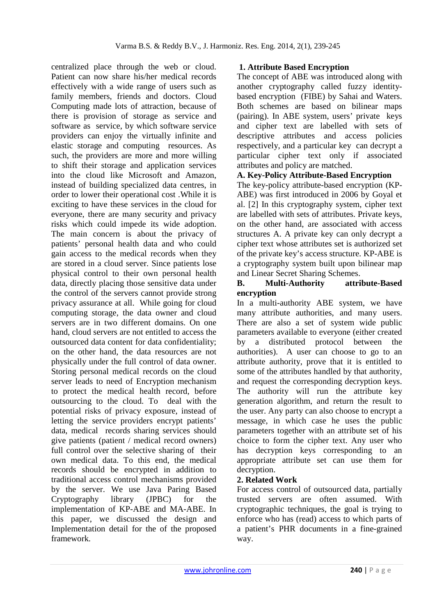centralized place through the web or cloud. Patient can now share his/her medical records effectively with a wide range of users such as family members, friends and doctors. Cloud Computing made lots of attraction, because of there is provision of storage as service and software as service, by which software service providers can enjoy the virtually infinite and elastic storage and computing resources. As such, the providers are more and more willing to shift their storage and application services into the cloud like Microsoft and Amazon, instead of building specialized data centres, in order to lower their operational cost .While it is exciting to have these services in the cloud for everyone, there are many security and privacy risks which could impede its wide adoption. The main concern is about the privacy of patients' personal health data and who could gain access to the medical records when they are stored in a cloud server. Since patients lose physical control to their own personal health data, directly placing those sensitive data under the control of the servers cannot provide strong privacy assurance at all. While going for cloud computing storage, the data owner and cloud servers are in two different domains. On one hand, cloud servers are not entitled to access the outsourced data content for data confidentiality; on the other hand, the data resources are not physically under the full control of data owner. Storing personal medical records on the cloud server leads to need of Encryption mechanism to protect the medical health record, before outsourcing to the cloud. To deal with the potential risks of privacy exposure, instead of letting the service providers encrypt patients' data, medical records sharing services should give patients (patient / medical record owners) full control over the selective sharing of their own medical data. To this end, the medical records should be encrypted in addition to traditional access control mechanisms provided by the server. We use Java Paring Based Cryptography library (JPBC) for the implementation of KP-ABE and MA-ABE. In this paper, we discussed the design and Implementation detail for the of the proposed framework.

## **1. Attribute Based Encryption**

The concept of ABE was introduced along with another cryptography called fuzzy identitybased encryption (FIBE) by Sahai and Waters. Both schemes are based on bilinear maps (pairing). In ABE system, users' private keys and cipher text are labelled with sets of descriptive attributes and access policies respectively, and a particular key can decrypt a particular cipher text only if associated attributes and policy are matched.

## **A. Key-Policy Attribute-Based Encryption**

The key-policy attribute-based encryption (KP-ABE) was first introduced in 2006 by Goyal et al. [2] In this cryptography system, cipher text are labelled with sets of attributes. Private keys, on the other hand, are associated with access structures A. A private key can only decrypt a cipher text whose attributes set is authorized set of the private key's access structure. KP-ABE is a cryptography system built upon bilinear map and Linear Secret Sharing Schemes.

#### **B. Multi-Authority attribute-Based encryption**

In a multi-authority ABE system, we have many attribute authorities, and many users. There are also a set of system wide public parameters available to everyone (either created by a distributed protocol between the authorities). A user can choose to go to an attribute authority, prove that it is entitled to some of the attributes handled by that authority, and request the corresponding decryption keys. The authority will run the attribute key generation algorithm, and return the result to the user. Any party can also choose to encrypt a message, in which case he uses the public parameters together with an attribute set of his choice to form the cipher text. Any user who has decryption keys corresponding to an appropriate attribute set can use them for decryption.

## **2. Related Work**

For access control of outsourced data, partially trusted servers are often assumed. With cryptographic techniques, the goal is trying to enforce who has (read) access to which parts of a patient's PHR documents in a fine-grained way.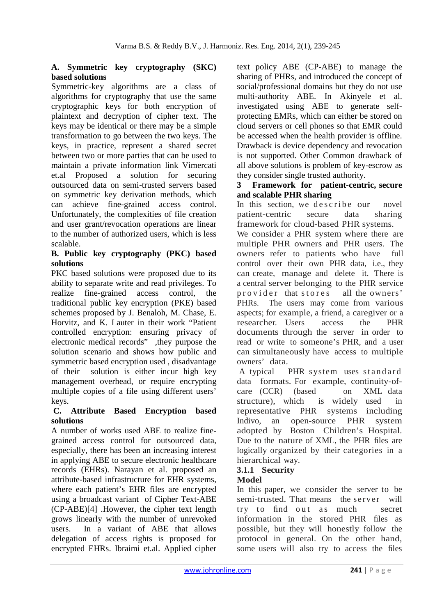### **A. Symmetric key cryptography (SKC) based solutions**

Symmetric-key algorithms are a class of algorithms for cryptography that use the same cryptographic keys for both encryption of plaintext and decryption of cipher text. The keys may be identical or there may be a simple transformation to go between the two keys. The keys, in practice, represent a shared secret between two or more parties that can be used to maintain a private information link Vimercati et.al Proposed a solution for securing outsourced data on semi-trusted servers based on symmetric key derivation methods, which can achieve fine-grained access control. Unfortunately, the complexities of file creation and user grant/revocation operations are linear to the number of authorized users, which is less scalable.

#### **B. Public key cryptography (PKC) based solutions**

PKC based solutions were proposed due to its ability to separate write and read privileges. To realize fine-grained access control, the traditional public key encryption (PKE) based schemes proposed by J. Benaloh, M. Chase, E. Horvitz, and K. Lauter in their work "Patient controlled encryption: ensuring privacy of electronic medical records" ,they purpose the solution scenario and shows how public and symmetric based encryption used , disadvantage of their solution is either incur high key management overhead, or require encrypting multiple copies of a file using different users' keys.

#### **C. Attribute Based Encryption based solutions**

A number of works used ABE to realize finegrained access control for outsourced data, especially, there has been an increasing interest in applying ABE to secure electronic healthcare records (EHRs). Narayan et al. proposed an attribute-based infrastructure for EHR systems, where each patient's EHR files are encrypted using a broadcast variant of Cipher Text-ABE (CP-ABE)[4] .However, the cipher text length grows linearly with the number of unrevoked users. In a variant of ABE that allows delegation of access rights is proposed for encrypted EHRs. Ibraimi et.al. Applied cipher text policy ABE (CP-ABE) to manage the sharing of PHRs, and introduced the concept of social/professional domains but they do not use multi-authority ABE. In Akinyele et al. investigated using ABE to generate selfprotecting EMRs, which can either be stored on cloud servers or cell phones so that EMR could be accessed when the health provider is offline. Drawback is device dependency and revocation is not supported. Other Common drawback of all above solutions is problem of key-escrow as they consider single trusted authority.

#### **3 Framework for patient-centric, secure and scalable PHR sharing**

In this section, we describe our novel patient-centric secure data sharing framework for cloud-based PHR systems.

We consider a PHR system where there are multiple PHR owners and PHR users. The owners refer to patients who have full control over their own PHR data, i.e., they can create, manage and delete it. There is a central server belonging to the PHR service provider that stores all the owners' PHRs. The users may come from various aspects; for example, a friend, a caregiver or a researcher. Users access the PHR documents through the server in order to read or write to someone's PHR, and a user can simultaneously have access to multiple owners' data.

A typical PHR system uses standard data formats. For example, continuity-ofcare (CCR) (based on XML data structure), which is widely used in representative PHR systems including Indivo, an open-source PHR system adopted by Boston Children's Hospital. Due to the nature of XML, the PHR files are logically organized by their categories in a hierarchical way.

# **3.1.1 Security**

# **Model**

In this paper, we consider the server to be semi-trusted. That means the server will try to find out as much secret information in the stored PHR files as possible, but they will honestly follow the protocol in general. On the other hand, some users will also try to access the files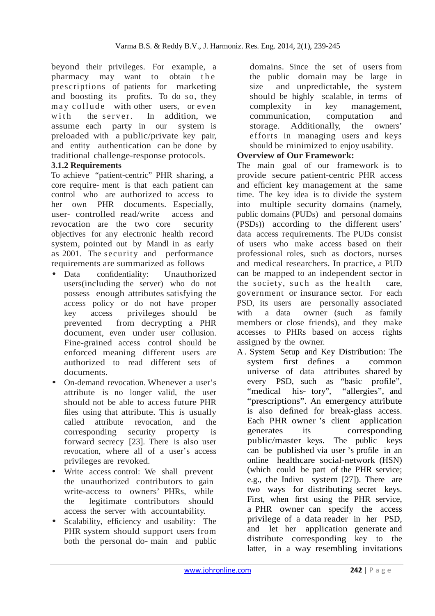beyond their privileges. For example, a pharmacy may want to obtain the prescriptions of patients for marketing and boosting its profits. To do so, they may collude with other users, or even with the server. In addition, we assume each party in our system is preloaded with a public/private key pair, and entity authentication can be done by traditional challenge-response protocols.

#### **3.1.2 Requirements**

To achieve "patient-centric" PHR sharing, a core require- ment is that each patient can control who are authorized to access to her own PHR documents. Especially, user- controlled read/write access and revocation are the two core security objectives for any electronic health record system, pointed out by Mandl in as early as 2001. The security and performance requirements are summarized as follows

- Data confidentiality: Unauthorized users(including the server) who do not possess enough attributes satisfying the access policy or do not have proper key access privileges should be prevented from decrypting a PHR document, even under user collusion. Fine-grained access control should be enforced meaning different users are authorized to read different sets of documents.
- On-demand revocation. Whenever a user's attribute is no longer valid, the user should not be able to access future PHR files using that attribute. This is usually called attribute revocation, and the corresponding security property is forward secrecy [23]. There is also user revocation, where all of a user's access privileges are revoked.
- Write access control: We shall prevent the unauthorized contributors to gain write-access to owners' PHRs, while the legitimate contributors should access the server with accountability.
- Scalability, efficiency and usability: The PHR system should support users from both the personal do- main and public

domains. Since the set of users from the public domain may be large in size and unpredictable, the system should be highly scalable, in terms of complexity in key management, communication, computation and storage. Additionally, the owners' efforts in managing users and keys should be minimized to enjoy usability.

## **Overview of Our Framework:**

The main goal of our framework is to provide secure patient-centric PHR access and efficient key management at the same time. The key idea is to divide the system into multiple security domains (namely, public domains (PUDs) and personal domains (PSDs)) according to the different users' data access requirements. The PUDs consist of users who make access based on their professional roles, such as doctors, nurses and medical researchers. In practice, a PUD can be mapped to an independent sector in the society, such as the health care, government or insurance sector. For each PSD, its users are personally associated with a data owner (such as family members or close friends), and they make accesses to PHRs based on access rights assigned by the owner.

A . System Setup and Key Distribution: The system first defines a common universe of data attributes shared by every PSD, such as "basic profile", "medical his- tory", "allergies", and "prescriptions". An emergency attribute is also defined for break-glass access. Each PHR owner 's client application generates its corresponding public/master keys. The public keys can be published via user 's profile in an online healthcare social-network (HSN) (which could be part of the PHR service; e.g., the Indivo system [27]). There are two ways for distributing secret keys. First, when first using the PHR service, a PHR owner can specify the access privilege of a data reader in her PSD, and let her application generate and distribute corresponding key to the latter, in a way resembling invitations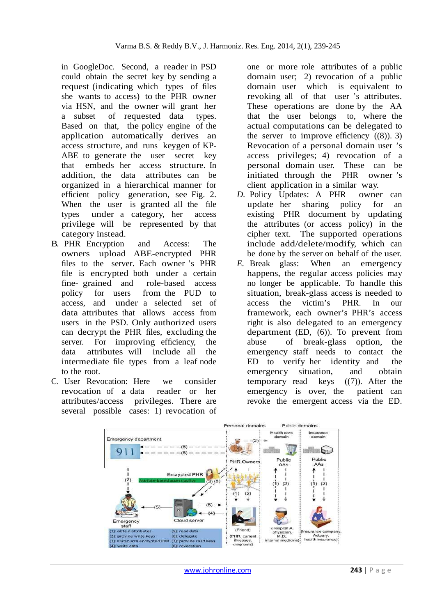in GoogleDoc. Second, a reader in PSD could obtain the secret key by sending a request (indicating which types of files she wants to access) to the PHR owner via HSN, and the owner will grant her a subset of requested data types. Based on that, the policy engine of the application automatically derives an access structure, and runs keygen of KP-ABE to generate the user secret key that embeds her access structure. In addition, the data attributes can be organized in a hierarchical manner for efficient policy generation, see Fig. 2. When the user is granted all the file types under a category, her access privilege will be represented by that category instead.

- B. PHR Encryption and Access: The owners upload ABE-encrypted PHR files to the server. Each owner 's PHR file is encrypted both under a certain fine- grained and role-based access policy for users from the PUD to access, and under a selected set of data attributes that allows access from users in the PSD. Only authorized users can decrypt the PHR files, excluding the server. For improving efficiency, the data attributes will include all the intermediate file types from a leaf node to the root.
- C. User Revocation: Here we consider revocation of a data reader or her attributes/access privileges. There are several possible cases: 1) revocation of

one or more role attributes of a public domain user; 2) revocation of a public domain user which is equivalent to revoking all of that user 's attributes. These operations are done by the AA that the user belongs to, where the actual computations can be delegated to the server to improve efficiency  $((8))$ . 3) Revocation of a personal domain user 's access privileges; 4) revocation of a personal domain user. These can be initiated through the PHR owner 's client application in a similar way.

- *D.* Policy Updates: A PHR owner can update her sharing policy for an existing PHR document by updating the attributes (or access policy) in the cipher text. The supported operations include add/delete/modify, which can be done by the server on behalf of the user.
- *E.* Break glass: When an emergency happens, the regular access policies may no longer be applicable. To handle this situation, break-glass access is needed to access the victim's PHR. In our framework, each owner's PHR's access right is also delegated to an emergency department (ED, (6)). To prevent from abuse of break-glass option, the emergency staff needs to contact the ED to verify her identity and the emergency situation, and obtain temporary read keys ((7)). After the emergency is over, the patient can revoke the emergent access via the ED.

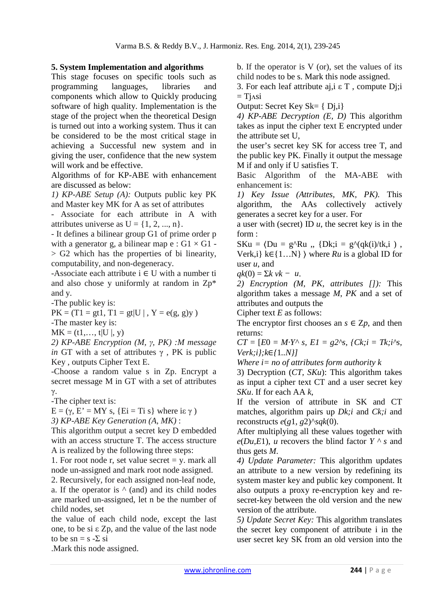## **5. System Implementation and algorithms**

This stage focuses on specific tools such as programming languages, libraries and components which allow to Quickly producing software of high quality. Implementation is the stage of the project when the theoretical Design is turned out into a working system. Thus it can be considered to be the most critical stage in achieving a Successful new system and in giving the user, confidence that the new system will work and be effective.

Algorithms of for KP-ABE with enhancement are discussed as below:

*1) KP-ABE Setup (A):* Outputs public key PK and Master key MK for A as set of attributes

- Associate for each attribute in A with attributes universe as  $U = \{1, 2, ..., n\}.$ 

- It defines a bilinear group G1 of prime order p with a generator g, a bilinear map  $e : G1 \times G1$  - $>$  G2 which has the properties of bi linearity, computability, and non-degeneracy.

-Associate each attribute  $i \in U$  with a number ti and also chose y uniformly at random in Zp\* and y.

-The public key is:

 $PK = (T1 = gt1, T1 = gt|U|, Y = e(g, g)y)$ 

-The master key is:

 $MK = (t1, ..., t|U|, y)$ 

*2) KP-ABE Encryption (M, γ, PK) :M message in* GT with a set of attributes  $\gamma$ , PK is public Key , outputs Cipher Text E.

-Choose a random value s in Zp. Encrypt a secret message M in GT with a set of attributes γ.

-The cipher text is:

 $E = (\gamma, E' = MY \text{ s}, \{Ei = Ti \text{ s}\} \text{ where } i \in \gamma)$ *3) KP-ABE Key Generation (A, MK)* :

This algorithm output a secret key D embedded with an access structure T. The access structure A is realized by the following three steps:

1. For root node r, set value secret  $=$  y. mark all node un-assigned and mark root node assigned.

2. Recursively, for each assigned non-leaf node, a. If the operator is  $\wedge$  (and) and its child nodes are marked un-assigned, let n be the number of child nodes, set

the value of each child node, except the last one, to be si ε Zp, and the value of the last node to be  $sn = s - \sum s$ i

b. If the operator is V (or), set the values of its child nodes to be s. Mark this node assigned.

3. For each leaf attribute aj,i ε T , compute Dj;i  $=$  Tinsi

Output: Secret Key Sk= { Dj,i}

*4) KP-ABE Decryption (E, D)* This algorithm takes as input the cipher text E encrypted under the attribute set U,

the user's secret key SK for access tree T, and the public key PK. Finally it output the message M if and only if U satisfies T.

Basic Algorithm of the MA-ABE with enhancement is:

*1) Key Issue (Attributes, MK, PK).* This algorithm, the AAs collectively actively generates a secret key for a user. For

a user with (secret) ID *u*, the secret key is in the form :

 $SKu = \langle Du = g^{\wedge}Ru , \{Dk;i = g^{\wedge}(qk(i)/tk,i) \rangle \}$ Verk,i} k∈{1…N} ⟩ where *Ru* is a global ID for user *u*, and

 $qk(0) = \sum k v k - u$ .

*2) Encryption (M, PK, attributes []):* This algorithm takes a message *M*, *PK* and a set of attributes and outputs the

Cipher text *E* as follows:

The encryptor first chooses an  $s \in \mathbb{Z}p$ , and then returns:

 $CT = [E0 = M \cdot Y^{\wedge} \, s, \, EI = g2^{\wedge} s, \, fCk; i = Tk; i^{\wedge} s,$ *Verk;i};k*∈*{*1*..N}]* 

*Where i= no of attributes form authority k* 

3) Decryption (*CT, SKu*): This algorithm takes as input a cipher text CT and a user secret key *SKu*. If for each AA *k*,

If the version of attribute in SK and CT matches, algorithm pairs up *Dk;i* and *Ck;i* and reconstructs  $e(g1, g2)^{\wedge}$ *sqk*(0).

After multiplying all these values together with  $e(Du,E1)$ , *u* recovers the blind factor  $Y \wedge s$  and thus gets *M*.

*4) Update Parameter:* This algorithm updates an attribute to a new version by redefining its system master key and public key component. It also outputs a proxy re-encryption key and resecret-key between the old version and the new version of the attribute.

*5) Update Secret Key:* This algorithm translates the secret key component of attribute i in the user secret key SK from an old version into the

.Mark this node assigned.